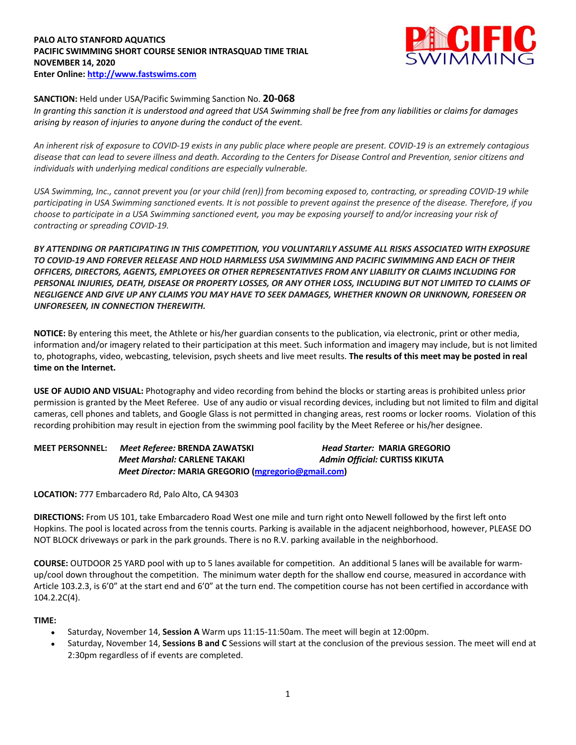#### **PALO ALTO STANFORD AQUATICS PACIFIC SWIMMING SHORT COURSE SENIOR INTRASQUAD TIME TRIAL NOVEMBER 14, 2020 Enter Online: http://www.fastswims.com**



## **SANCTION:** Held under USA/Pacific Swimming Sanction No. **20-068**

*In granting this sanction it is understood and agreed that USA Swimming shall be free from any liabilities or claims for damages arising by reason of injuries to anyone during the conduct of the event.* 

*An inherent risk of exposure to COVID-19 exists in any public place where people are present. COVID-19 is an extremely contagious disease that can lead to severe illness and death. According to the Centers for Disease Control and Prevention, senior citizens and individuals with underlying medical conditions are especially vulnerable.*

*USA Swimming, Inc., cannot prevent you (or your child (ren)) from becoming exposed to, contracting, or spreading COVID-19 while participating in USA Swimming sanctioned events. It is not possible to prevent against the presence of the disease. Therefore, if you choose to participate in a USA Swimming sanctioned event, you may be exposing yourself to and/or increasing your risk of contracting or spreading COVID-19.*

*BY ATTENDING OR PARTICIPATING IN THIS COMPETITION, YOU VOLUNTARILY ASSUME ALL RISKS ASSOCIATED WITH EXPOSURE TO COVID-19 AND FOREVER RELEASE AND HOLD HARMLESS USA SWIMMING AND PACIFIC SWIMMING AND EACH OF THEIR OFFICERS, DIRECTORS, AGENTS, EMPLOYEES OR OTHER REPRESENTATIVES FROM ANY LIABILITY OR CLAIMS INCLUDING FOR PERSONAL INJURIES, DEATH, DISEASE OR PROPERTY LOSSES, OR ANY OTHER LOSS, INCLUDING BUT NOT LIMITED TO CLAIMS OF NEGLIGENCE AND GIVE UP ANY CLAIMS YOU MAY HAVE TO SEEK DAMAGES, WHETHER KNOWN OR UNKNOWN, FORESEEN OR UNFORESEEN, IN CONNECTION THEREWITH.*

**NOTICE:** By entering this meet, the Athlete or his/her guardian consents to the publication, via electronic, print or other media, information and/or imagery related to their participation at this meet. Such information and imagery may include, but is not limited to, photographs, video, webcasting, television, psych sheets and live meet results. **The results of this meet may be posted in real time on the Internet.**

**USE OF AUDIO AND VISUAL:** Photography and video recording from behind the blocks or starting areas is prohibited unless prior permission is granted by the Meet Referee. Use of any audio or visual recording devices, including but not limited to film and digital cameras, cell phones and tablets, and Google Glass is not permitted in changing areas, rest rooms or locker rooms. Violation of this recording prohibition may result in ejection from the swimming pool facility by the Meet Referee or his/her designee.

# **MEET PERSONNEL:** *Meet Referee:* **BRENDA ZAWATSKI** *Head Starter:* **MARIA GREGORIO**  *Meet Marshal:* **CARLENE TAKAKI** *Admin Official:* **CURTISS KIKUTA**  *Meet Director:* **MARIA GREGORIO (mgregorio@gmail.com)**

**LOCATION:** 777 Embarcadero Rd, Palo Alto, CA 94303

**DIRECTIONS:** From US 101, take Embarcadero Road West one mile and turn right onto Newell followed by the first left onto Hopkins. The pool is located across from the tennis courts. Parking is available in the adjacent neighborhood, however, PLEASE DO NOT BLOCK driveways or park in the park grounds. There is no R.V. parking available in the neighborhood.

**COURSE:** OUTDOOR 25 YARD pool with up to 5 lanes available for competition. An additional 5 lanes will be available for warmup/cool down throughout the competition. The minimum water depth for the shallow end course, measured in accordance with Article 103.2.3, is 6'0" at the start end and 6'0" at the turn end. The competition course has not been certified in accordance with 104.2.2C(4).

### **TIME:**

- Saturday, November 14, **Session A** Warm ups 11:15-11:50am. The meet will begin at 12:00pm.
- Saturday, November 14, Sessions B and C Sessions will start at the conclusion of the previous session. The meet will end at 2:30pm regardless of if events are completed.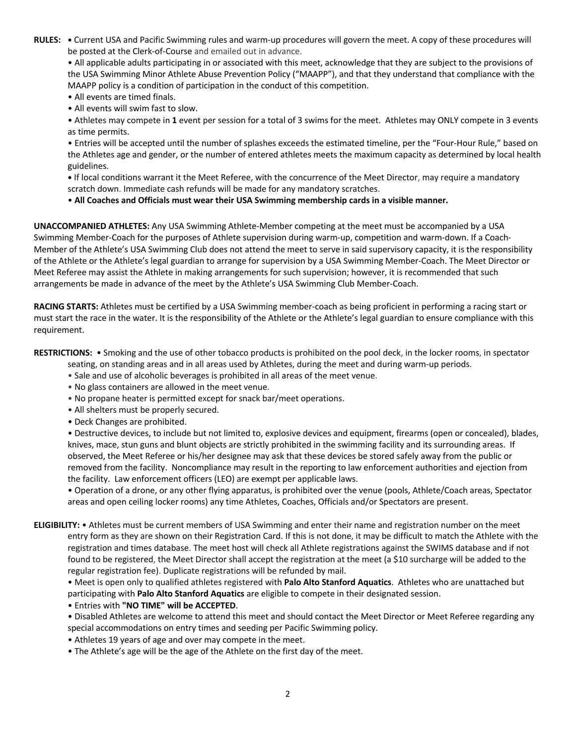**RULES: •** Current USA and Pacific Swimming rules and warm-up procedures will govern the meet. A copy of these procedures will be posted at the Clerk-of-Course and emailed out in advance.

• All applicable adults participating in or associated with this meet, acknowledge that they are subject to the provisions of the USA Swimming Minor Athlete Abuse Prevention Policy ("MAAPP"), and that they understand that compliance with the MAAPP policy is a condition of participation in the conduct of this competition.

- All events are timed finals.
- All events will swim fast to slow.

• Athletes may compete in **1** event per session for a total of 3 swims for the meet. Athletes may ONLY compete in 3 events as time permits.

• Entries will be accepted until the number of splashes exceeds the estimated timeline, per the "Four-Hour Rule," based on the Athletes age and gender, or the number of entered athletes meets the maximum capacity as determined by local health guidelines.

**•** If local conditions warrant it the Meet Referee, with the concurrence of the Meet Director, may require a mandatory scratch down. Immediate cash refunds will be made for any mandatory scratches.

• **All Coaches and Officials must wear their USA Swimming membership cards in a visible manner.** 

**UNACCOMPANIED ATHLETES:** Any USA Swimming Athlete-Member competing at the meet must be accompanied by a USA Swimming Member-Coach for the purposes of Athlete supervision during warm-up, competition and warm-down. If a Coach-Member of the Athlete's USA Swimming Club does not attend the meet to serve in said supervisory capacity, it is the responsibility of the Athlete or the Athlete's legal guardian to arrange for supervision by a USA Swimming Member-Coach. The Meet Director or Meet Referee may assist the Athlete in making arrangements for such supervision; however, it is recommended that such arrangements be made in advance of the meet by the Athlete's USA Swimming Club Member-Coach.

**RACING STARTS:** Athletes must be certified by a USA Swimming member-coach as being proficient in performing a racing start or must start the race in the water. It is the responsibility of the Athlete or the Athlete's legal guardian to ensure compliance with this requirement.

**RESTRICTIONS:** • Smoking and the use of other tobacco products is prohibited on the pool deck, in the locker rooms, in spectator

seating, on standing areas and in all areas used by Athletes, during the meet and during warm-up periods.

- Sale and use of alcoholic beverages is prohibited in all areas of the meet venue.
- No glass containers are allowed in the meet venue.
- No propane heater is permitted except for snack bar/meet operations.
- All shelters must be properly secured.
- Deck Changes are prohibited.

• Destructive devices, to include but not limited to, explosive devices and equipment, firearms (open or concealed), blades, knives, mace, stun guns and blunt objects are strictly prohibited in the swimming facility and its surrounding areas. If observed, the Meet Referee or his/her designee may ask that these devices be stored safely away from the public or removed from the facility. Noncompliance may result in the reporting to law enforcement authorities and ejection from the facility. Law enforcement officers (LEO) are exempt per applicable laws.

• Operation of a drone, or any other flying apparatus, is prohibited over the venue (pools, Athlete/Coach areas, Spectator areas and open ceiling locker rooms) any time Athletes, Coaches, Officials and/or Spectators are present.

**ELIGIBILITY:** • Athletes must be current members of USA Swimming and enter their name and registration number on the meet entry form as they are shown on their Registration Card. If this is not done, it may be difficult to match the Athlete with the registration and times database. The meet host will check all Athlete registrations against the SWIMS database and if not found to be registered, the Meet Director shall accept the registration at the meet (a \$10 surcharge will be added to the regular registration fee). Duplicate registrations will be refunded by mail.

• Meet is open only to qualified athletes registered with **Palo Alto Stanford Aquatics**. Athletes who are unattached but participating with **Palo Alto Stanford Aquatics** are eligible to compete in their designated session.

• Entries with **"NO TIME" will be ACCEPTED**.

• Disabled Athletes are welcome to attend this meet and should contact the Meet Director or Meet Referee regarding any special accommodations on entry times and seeding per Pacific Swimming policy.

- Athletes 19 years of age and over may compete in the meet.
- The Athlete's age will be the age of the Athlete on the first day of the meet.